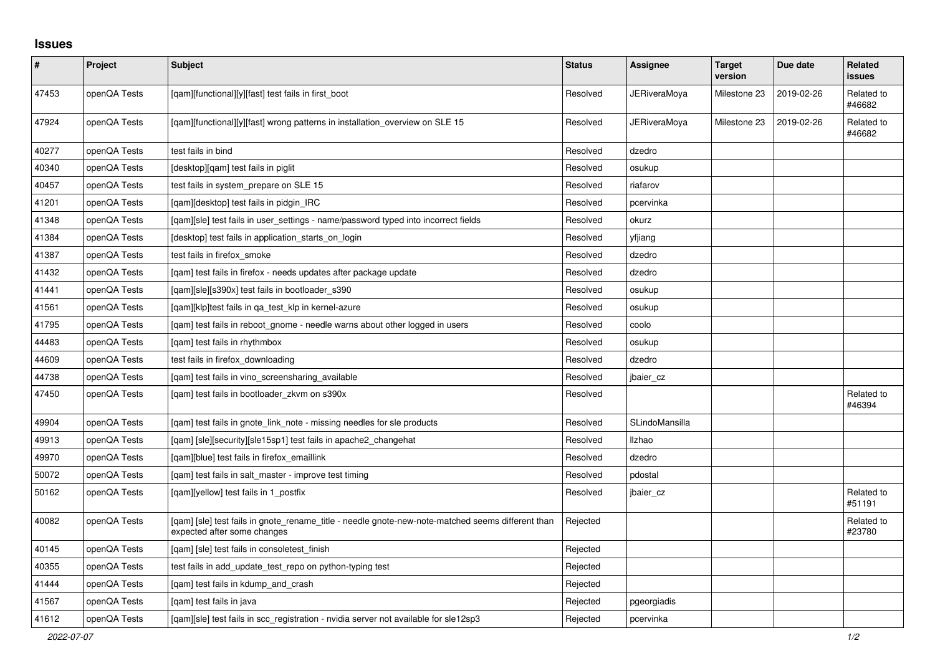## **Issues**

| $\sharp$ | Project      | <b>Subject</b>                                                                                                                   | <b>Status</b> | <b>Assignee</b> | <b>Target</b><br>version | Due date   | <b>Related</b><br>issues |
|----------|--------------|----------------------------------------------------------------------------------------------------------------------------------|---------------|-----------------|--------------------------|------------|--------------------------|
| 47453    | openQA Tests | [qam][functional][y][fast] test fails in first_boot                                                                              | Resolved      | JERiveraMoya    | Milestone 23             | 2019-02-26 | Related to<br>#46682     |
| 47924    | openQA Tests | [qam][functional][y][fast] wrong patterns in installation_overview on SLE 15                                                     | Resolved      | JERiveraMoya    | Milestone 23             | 2019-02-26 | Related to<br>#46682     |
| 40277    | openQA Tests | test fails in bind                                                                                                               | Resolved      | dzedro          |                          |            |                          |
| 40340    | openQA Tests | [desktop][gam] test fails in piglit                                                                                              | Resolved      | osukup          |                          |            |                          |
| 40457    | openQA Tests | test fails in system_prepare on SLE 15                                                                                           | Resolved      | riafarov        |                          |            |                          |
| 41201    | openQA Tests | [qam][desktop] test fails in pidgin_IRC                                                                                          | Resolved      | pcervinka       |                          |            |                          |
| 41348    | openQA Tests | [gam][sle] test fails in user settings - name/password typed into incorrect fields                                               | Resolved      | okurz           |                          |            |                          |
| 41384    | openQA Tests | [desktop] test fails in application starts on login                                                                              | Resolved      | yfjiang         |                          |            |                          |
| 41387    | openQA Tests | test fails in firefox smoke                                                                                                      | Resolved      | dzedro          |                          |            |                          |
| 41432    | openQA Tests | [qam] test fails in firefox - needs updates after package update                                                                 | Resolved      | dzedro          |                          |            |                          |
| 41441    | openQA Tests | [qam][sle][s390x] test fails in bootloader_s390                                                                                  | Resolved      | osukup          |                          |            |                          |
| 41561    | openQA Tests | [gam][klp]test fails in ga test klp in kernel-azure                                                                              | Resolved      | osukup          |                          |            |                          |
| 41795    | openQA Tests | [gam] test fails in reboot gnome - needle warns about other logged in users                                                      | Resolved      | coolo           |                          |            |                          |
| 44483    | openQA Tests | [gam] test fails in rhythmbox                                                                                                    | Resolved      | osukup          |                          |            |                          |
| 44609    | openQA Tests | test fails in firefox_downloading                                                                                                | Resolved      | dzedro          |                          |            |                          |
| 44738    | openQA Tests | [qam] test fails in vino_screensharing_available                                                                                 | Resolved      | jbaier_cz       |                          |            |                          |
| 47450    | openQA Tests | [gam] test fails in bootloader zkym on s390x                                                                                     | Resolved      |                 |                          |            | Related to<br>#46394     |
| 49904    | openQA Tests | [gam] test fails in gnote link note - missing needles for sle products                                                           | Resolved      | SLindoMansilla  |                          |            |                          |
| 49913    | openQA Tests | [qam] [sle][security][sle15sp1] test fails in apache2_changehat                                                                  | Resolved      | Ilzhao          |                          |            |                          |
| 49970    | openQA Tests | [qam][blue] test fails in firefox_emaillink                                                                                      | Resolved      | dzedro          |                          |            |                          |
| 50072    | openQA Tests | [qam] test fails in salt_master - improve test timing                                                                            | Resolved      | pdostal         |                          |            |                          |
| 50162    | openQA Tests | [gam][yellow] test fails in 1 postfix                                                                                            | Resolved      | jbaier_cz       |                          |            | Related to<br>#51191     |
| 40082    | openQA Tests | [qam] [sle] test fails in gnote_rename_title - needle gnote-new-note-matched seems different than<br>expected after some changes | Rejected      |                 |                          |            | Related to<br>#23780     |
| 40145    | openQA Tests | [gam] [sle] test fails in consoletest finish                                                                                     | Rejected      |                 |                          |            |                          |
| 40355    | openQA Tests | test fails in add update test repo on python-typing test                                                                         | Rejected      |                 |                          |            |                          |
| 41444    | openQA Tests | [gam] test fails in kdump and crash                                                                                              | Rejected      |                 |                          |            |                          |
| 41567    | openQA Tests | [qam] test fails in java                                                                                                         | Rejected      | pgeorgiadis     |                          |            |                          |
| 41612    | openQA Tests | [gam][sle] test fails in scc registration - nvidia server not available for sle12sp3                                             | Rejected      | pcervinka       |                          |            |                          |